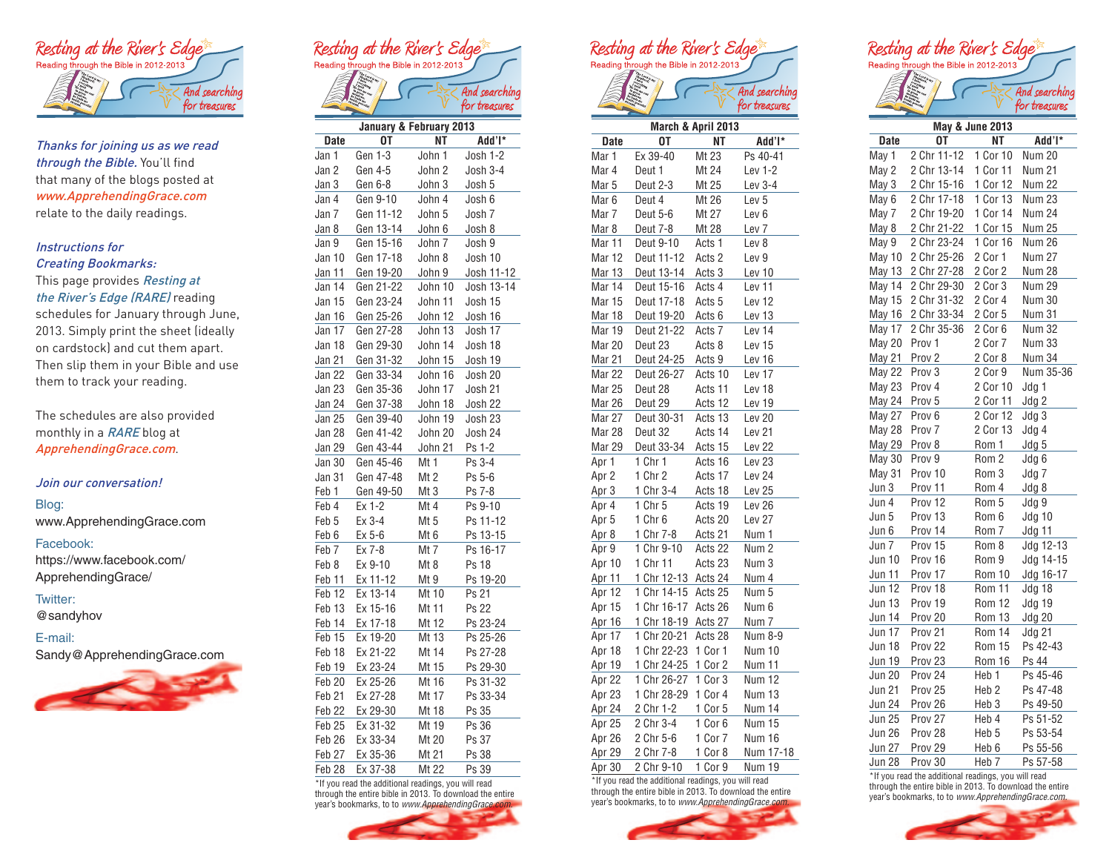

Thanks for joining us as we read through the Bible. You'll find that many of the blogs posted at www.ApprehendingGrace.com relate to the daily readings.

# Instructions for Creating Bookmarks:

### This page provides Resting at the River's Edge (RARE) reading

schedules for January through June, 2013. Simply print the sheet (ideally on cardstock) and cut them apart. Then slip them in your Bible and use them to track your reading.

The schedules are also provided monthly in a RARE blog at ApprehendingGrace.com.

# Join our conversation!

Blog:

www.ApprehendingGrace.com

#### Facebook:

https://www.facebook.com/ ApprehendingGrace/

# Twitter:

@sandyhov

# E-mail:

Sandy@ApprehendingGrace.com











for treasures







|               | y                  |                  |               |
|---------------|--------------------|------------------|---------------|
| Date          | OT                 | ΝT               | Add'l*        |
| May 1         | 2 Chr 11-12        | 1<br>Cor 10      | <b>Num 20</b> |
| May 2         | 2 Chr 13-14        | 1 Cor 11         | Num 21        |
| May 3         | 2 Chr 15-16        | 1 Cor 12         | <b>Num 22</b> |
| May 6         | 2 Chr 17-18        | 1 Cor $13$       | Num 23        |
| May 7         | 2 Chr 19-20        | 1 Cor 14         | <b>Num 24</b> |
| May 8         | 2 Chr 21-22        | 1 Cor 15         | <b>Num 25</b> |
| May 9         | 2 Chr 23-24        | 1 Cor 16         | Num 26        |
| May 10        | 2 Chr 25-26        | 2 Cor 1          | <b>Num 27</b> |
| May 13        | 2 Chr 27-28        | 2 Cor 2          | <b>Num 28</b> |
| May 14        | 2 Chr 29-30        | 2 Cor 3          | <b>Num 29</b> |
| May 15        | 2 Chr 31-32        | 2 Cor 4          | <b>Num 30</b> |
| May 16        | 2 Chr 33-34        | 2 Cor 5          | <b>Num 31</b> |
| May 17        | 2 Chr 35-36        | 2 Cor 6          | <b>Num 32</b> |
| May 20        | Prov 1             | 2 Cor 7          | Num 33        |
| <b>May 21</b> | Prov <sub>2</sub>  | 2 Cor 8          | <b>Num 34</b> |
| May 22        | Prov 3             | 2 Cor 9          | Num 35-36     |
| May 23        | Prov 4             | 2 Cor 10         | Jdg 1         |
| May 24        | Prov 5             | 2 Cor 11         | Jdg 2         |
| May 27        | Prov <sub>6</sub>  | 2 Cor 12         | Jdg 3         |
| May 28        | Prov <sub>7</sub>  | 2 Cor 13         | Jdg 4         |
| <b>May 29</b> | Prov 8             | Rom 1            | Jdg 5         |
| May 30        | Prov 9             | Rom <sub>2</sub> | Jdg 6         |
| May 31        | Prov 10            | Rom 3            | Jdg 7         |
| Jun 3         | Prov 11            | Rom 4            | Jdg 8         |
| Jun 4         | Prov 12            | Rom 5            | Jdg 9         |
| Jun 5         | Prov 13            | Rom 6            | Jdg 10        |
| Jun 6         | Prov 14            | Rom 7            | Jdg 11        |
| Jun 7         | Prov 15            | Rom 8            | Jdg 12-13     |
| <b>Jun 10</b> | Prov 16            | Rom 9            | Jdg 14-15     |
| Jun 11        | Prov 17            | Rom 10           | Jdg 16-17     |
| Jun 12        | Prov 18            | Rom 11           | Jdg 18        |
| <b>Jun 13</b> | Prov 19            | Rom 12           | Jdg 19        |
| Jun 14        | Prov 20            | Rom 13           | <b>Jdg 20</b> |
| Jun 17        | Prov <sub>21</sub> | Rom 14           | <b>Jdg 21</b> |
| <b>Jun 18</b> | Prov 22            | Rom 15           | Ps 42-43      |
| <b>Jun 19</b> | Prov <sub>23</sub> | Rom 16           | Ps 44         |
| <b>Jun 20</b> | Prov 24            | Heb 1            | Ps 45-46      |
| <b>Jun 21</b> | Prov 25            | Heb 2            | Ps 47-48      |
| <b>Jun 24</b> | Prov 26            | Heb <sub>3</sub> | Ps 49-50      |
| <b>Jun 25</b> | Prov 27            | Heb 4            | Ps 51-52      |
| Jun 26        | Prov 28            | Heb 5            | Ps 53-54      |
| <b>Jun 27</b> | Prov 29            | Heb <sub>6</sub> | Ps 55-56      |
| <b>Jun 28</b> | Prov 30            | Heb <sub>7</sub> | Ps 57-58      |

\*If you read the additional readings, you will read through the entire bible in 2013. To download the entire year's bookmarks, to to *www.ApprehendingGrace.com.*